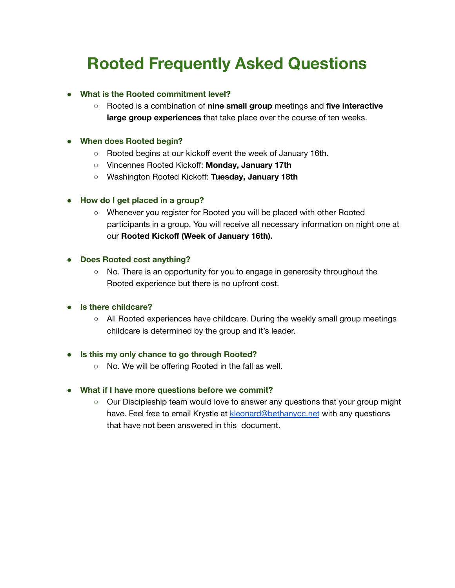# **Rooted Frequently Asked Questions**

# **● What is the Rooted commitment level?**

**○** Rooted is a combination of **nine small group** meetings and **five interactive large group experiences** that take place over the course of ten weeks.

## **● When does Rooted begin?**

- **○** Rooted begins at our kickoff event the week of January 16th.
- Vincennes Rooted Kickoff: **Monday, January 17th**
- Washington Rooted Kickoff: **Tuesday, January 18th**

## **● How do I get placed in a group?**

**○** Whenever you register for Rooted you will be placed with other Rooted participants in a group. You will receive all necessary information on night one at our **Rooted Kickoff (Week of January 16th).**

#### **● Does Rooted cost anything?**

**○** No. There is an opportunity for you to engage in generosity throughout the Rooted experience but there is no upfront cost.

#### ● **Is there childcare?**

○ All Rooted experiences have childcare. During the weekly small group meetings childcare is determined by the group and it's leader.

#### **● Is this my only chance to go through Rooted?**

**○** No. We will be offering Rooted in the fall as well.

# **● What if I have more questions before we commit?**

**○** Our Discipleship team would love to answer any questions that your group might have. Feel free to email Krystle at [kleonard@bethanycc.net](mailto:kleonard@bethanycc.net) with any questions that have not been answered in this document.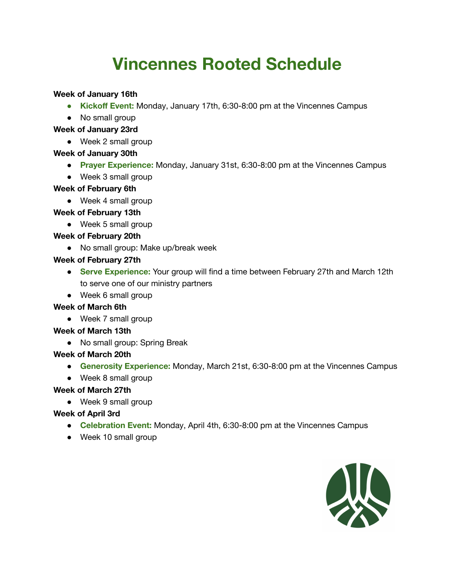# **Vincennes Rooted Schedule**

# **Week of January 16th**

- **● Kickoff Event:** Monday, January 17th, 6:30-8:00 pm at the Vincennes Campus
- No small group

# **Week of January 23rd**

● Week 2 small group

# **Week of January 30th**

- **Prayer Experience:** Monday, January 31st, 6:30-8:00 pm at the Vincennes Campus
- Week 3 small group

# **Week of February 6th**

● Week 4 small group

# **Week of February 13th**

• Week 5 small group

# **Week of February 20th**

● No small group: Make up/break week

# **Week of February 27th**

- **Serve Experience:** Your group will find a time between February 27th and March 12th to serve one of our ministry partners
- Week 6 small group

# **Week of March 6th**

● Week 7 small group

# **Week of March 13th**

● No small group: Spring Break

# **Week of March 20th**

- **Generosity Experience:** Monday, March 21st, 6:30-8:00 pm at the Vincennes Campus
- Week 8 small group

# **Week of March 27th**

• Week 9 small group

# **Week of April 3rd**

- **Celebration Event:** Monday, April 4th, 6:30-8:00 pm at the Vincennes Campus
- Week 10 small group